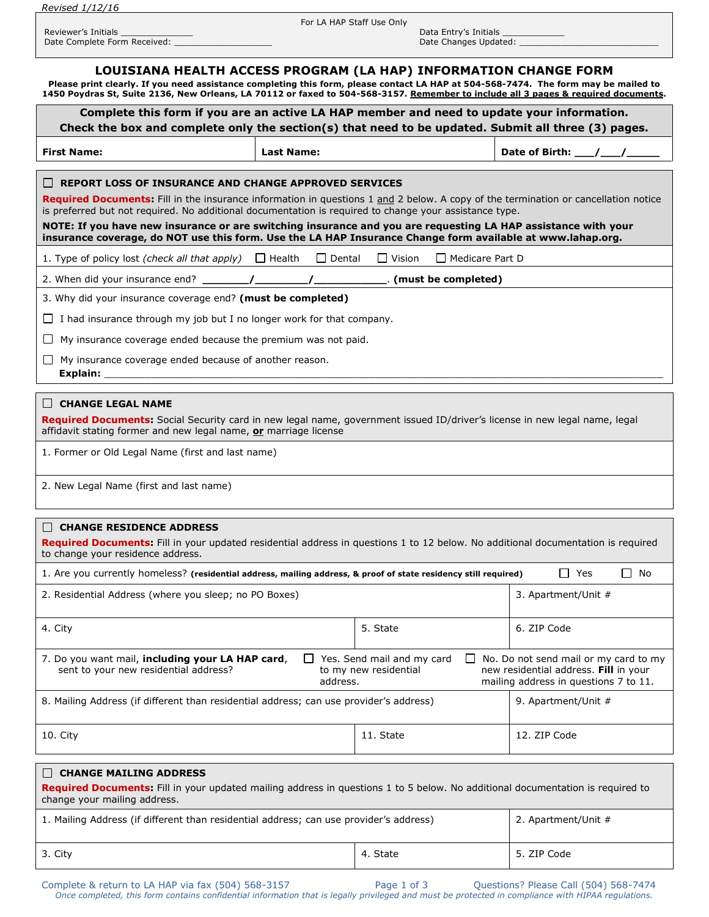*Revised 1/12/16*

For LA HAP Staff Use Only

Date Complete Form Received: \_\_\_\_\_\_\_\_\_\_\_\_\_\_\_\_\_\_\_ Date Changes Updated: \_\_\_\_\_\_\_\_\_\_\_\_\_\_\_\_\_\_\_\_\_\_\_\_\_\_\_

Reviewer's Initials \_\_\_\_\_\_\_\_\_\_\_\_\_\_ Data Entry's Initials \_\_\_\_\_\_\_\_\_\_\_\_

## **LOUISIANA HEALTH ACCESS PROGRAM (LA HAP) INFORMATION CHANGE FORM**

**Please print clearly. If you need assistance completing this form, please contact LA HAP at 504-568-7474. The form may be mailed to 1450 Poydras St, Suite 2136, New Orleans, LA 70112 or faxed to 504-568-3157. Remember to include all 3 pages & required documents.**

| Complete this form if you are an active LA HAP member and need to update your information.<br>Check the box and complete only the section(s) that need to be updated. Submit all three (3) pages.                                                                                                                                                                                                                                                                           |                   |                                                     |                        |                                                                                                                         |  |  |
|-----------------------------------------------------------------------------------------------------------------------------------------------------------------------------------------------------------------------------------------------------------------------------------------------------------------------------------------------------------------------------------------------------------------------------------------------------------------------------|-------------------|-----------------------------------------------------|------------------------|-------------------------------------------------------------------------------------------------------------------------|--|--|
| <b>First Name:</b>                                                                                                                                                                                                                                                                                                                                                                                                                                                          | <b>Last Name:</b> |                                                     |                        |                                                                                                                         |  |  |
| Required Documents: Fill in the insurance information in questions 1 and 2 below. A copy of the termination or cancellation notice<br>is preferred but not required. No additional documentation is required to change your assistance type.<br>NOTE: If you have new insurance or are switching insurance and you are requesting LA HAP assistance with your<br>insurance coverage, do NOT use this form. Use the LA HAP Insurance Change form available at www.lahap.org. |                   |                                                     |                        |                                                                                                                         |  |  |
| 1. Type of policy lost (check all that apply) $\Box$ Health $\Box$ Dental                                                                                                                                                                                                                                                                                                                                                                                                   |                   | $\Box$ Vision                                       | $\Box$ Medicare Part D |                                                                                                                         |  |  |
|                                                                                                                                                                                                                                                                                                                                                                                                                                                                             |                   |                                                     |                        |                                                                                                                         |  |  |
| 3. Why did your insurance coverage end? (must be completed)                                                                                                                                                                                                                                                                                                                                                                                                                 |                   |                                                     |                        |                                                                                                                         |  |  |
| $\Box$ I had insurance through my job but I no longer work for that company.                                                                                                                                                                                                                                                                                                                                                                                                |                   |                                                     |                        |                                                                                                                         |  |  |
| My insurance coverage ended because the premium was not paid.<br>L I                                                                                                                                                                                                                                                                                                                                                                                                        |                   |                                                     |                        |                                                                                                                         |  |  |
| My insurance coverage ended because of another reason.<br>$\perp$                                                                                                                                                                                                                                                                                                                                                                                                           |                   |                                                     |                        |                                                                                                                         |  |  |
| ∣∣ CHANGE LEGAL NAME<br>Required Documents: Social Security card in new legal name, government issued ID/driver's license in new legal name, legal<br>affidavit stating former and new legal name, or marriage license<br>1. Former or Old Legal Name (first and last name)                                                                                                                                                                                                 |                   |                                                     |                        |                                                                                                                         |  |  |
| 2. New Legal Name (first and last name)                                                                                                                                                                                                                                                                                                                                                                                                                                     |                   |                                                     |                        |                                                                                                                         |  |  |
| $\Box$ CHANGE RESIDENCE ADDRESS<br>Required Documents: Fill in your updated residential address in questions 1 to 12 below. No additional documentation is required<br>to change your residence address.                                                                                                                                                                                                                                                                    |                   |                                                     |                        |                                                                                                                         |  |  |
| 1. Are you currently homeless? (residential address, mailing address, & proof of state residency still required)                                                                                                                                                                                                                                                                                                                                                            |                   |                                                     |                        | $\Box$ Yes<br>II No                                                                                                     |  |  |
| 2. Residential Address (where you sleep; no PO Boxes)                                                                                                                                                                                                                                                                                                                                                                                                                       |                   |                                                     |                        | 3. Apartment/Unit #                                                                                                     |  |  |
| 4. City                                                                                                                                                                                                                                                                                                                                                                                                                                                                     |                   | 5. State                                            |                        | 6. ZIP Code                                                                                                             |  |  |
| 7. Do you want mail, including your LA HAP card,<br>sent to your new residential address?                                                                                                                                                                                                                                                                                                                                                                                   | address.          | Yes. Send mail and my card<br>to my new residential |                        | No. Do not send mail or my card to my<br>new residential address. Fill in your<br>mailing address in questions 7 to 11. |  |  |
| 8. Mailing Address (if different than residential address; can use provider's address)                                                                                                                                                                                                                                                                                                                                                                                      |                   |                                                     |                        | 9. Apartment/Unit #                                                                                                     |  |  |
| 10. City                                                                                                                                                                                                                                                                                                                                                                                                                                                                    |                   | 11. State                                           |                        | 12. ZIP Code                                                                                                            |  |  |
| <b>CHANGE MAILING ADDRESS</b><br>ГT<br>Required Documents: Fill in your updated mailing address in questions 1 to 5 below. No additional documentation is required to<br>change your mailing address.                                                                                                                                                                                                                                                                       |                   |                                                     |                        |                                                                                                                         |  |  |
| 1. Mailing Address (if different than residential address; can use provider's address)                                                                                                                                                                                                                                                                                                                                                                                      |                   |                                                     |                        | 2. Apartment/Unit #                                                                                                     |  |  |
| 3. City                                                                                                                                                                                                                                                                                                                                                                                                                                                                     |                   | 4. State                                            |                        | 5. ZIP Code                                                                                                             |  |  |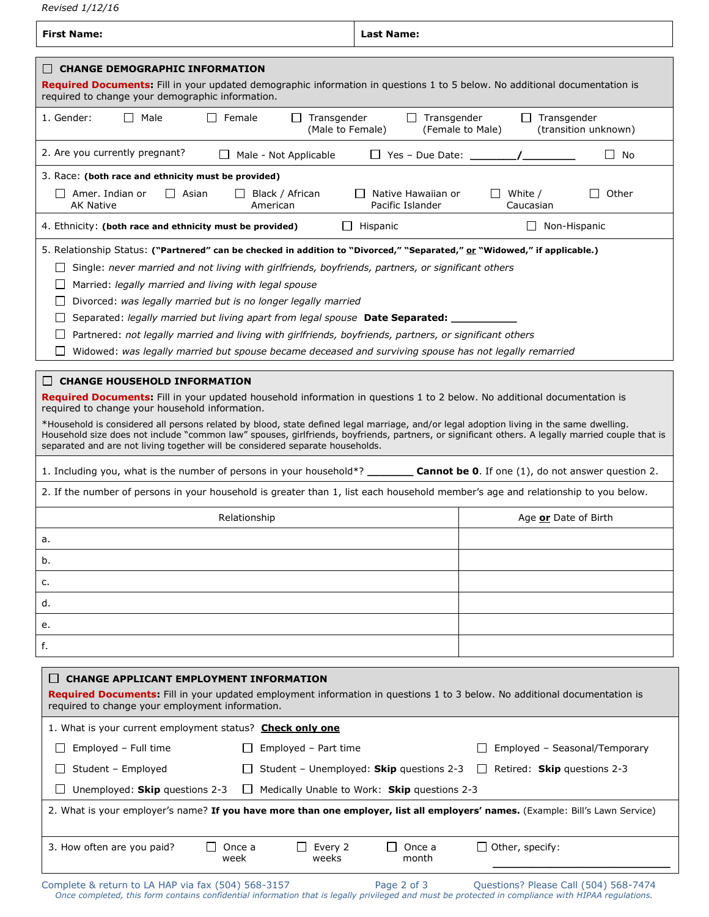*Revised 1/12/16*

| <b>CHANGE DEMOGRAPHIC INFORMATION</b><br><b>Required Documents:</b> Fill in your updated demographic information in questions 1 to 5 below. No additional documentation is<br>required to change your demographic information.<br>I Male<br>$\Box$ Female<br>$\Box$ Transgender<br>$\Box$ Transgender<br>$\Box$ Transgender<br>1. Gender:<br>(Male to Female)<br>(Female to Male)<br>(transition unknown)<br>2. Are you currently pregnant?<br>Male - Not Applicable<br>$\Box$ Yes – Due Date: $\Box$<br>$\Box$ No<br>3. Race: (both race and ethnicity must be provided)<br>$\Box$ Asian<br>$\Box$ Amer. Indian or<br>$\Box$ Black / African<br>Native Hawaiian or<br>White /<br>Other<br>American<br>Pacific Islander<br><b>AK Native</b><br>Caucasian<br>Hispanic<br>$\Box$ Non-Hispanic<br>4. Ethnicity: (both race and ethnicity must be provided)<br>$\perp$<br>5. Relationship Status: ("Partnered" can be checked in addition to "Divorced," "Separated," or "Widowed," if applicable.)<br>Single: never married and not living with girlfriends, boyfriends, partners, or significant others<br>Married: legally married and living with legal spouse<br>$\perp$ |  |  |  |  |  |
|---------------------------------------------------------------------------------------------------------------------------------------------------------------------------------------------------------------------------------------------------------------------------------------------------------------------------------------------------------------------------------------------------------------------------------------------------------------------------------------------------------------------------------------------------------------------------------------------------------------------------------------------------------------------------------------------------------------------------------------------------------------------------------------------------------------------------------------------------------------------------------------------------------------------------------------------------------------------------------------------------------------------------------------------------------------------------------------------------------------------------------------------------------------------------|--|--|--|--|--|
|                                                                                                                                                                                                                                                                                                                                                                                                                                                                                                                                                                                                                                                                                                                                                                                                                                                                                                                                                                                                                                                                                                                                                                           |  |  |  |  |  |
|                                                                                                                                                                                                                                                                                                                                                                                                                                                                                                                                                                                                                                                                                                                                                                                                                                                                                                                                                                                                                                                                                                                                                                           |  |  |  |  |  |
|                                                                                                                                                                                                                                                                                                                                                                                                                                                                                                                                                                                                                                                                                                                                                                                                                                                                                                                                                                                                                                                                                                                                                                           |  |  |  |  |  |
|                                                                                                                                                                                                                                                                                                                                                                                                                                                                                                                                                                                                                                                                                                                                                                                                                                                                                                                                                                                                                                                                                                                                                                           |  |  |  |  |  |
|                                                                                                                                                                                                                                                                                                                                                                                                                                                                                                                                                                                                                                                                                                                                                                                                                                                                                                                                                                                                                                                                                                                                                                           |  |  |  |  |  |
|                                                                                                                                                                                                                                                                                                                                                                                                                                                                                                                                                                                                                                                                                                                                                                                                                                                                                                                                                                                                                                                                                                                                                                           |  |  |  |  |  |
| Divorced: was legally married but is no longer legally married<br>Separated: legally married but living apart from legal spouse Date Separated:<br>Partnered: not legally married and living with girlfriends, boyfriends, partners, or significant others<br>Widowed: was legally married but spouse became deceased and surviving spouse has not legally remarried                                                                                                                                                                                                                                                                                                                                                                                                                                                                                                                                                                                                                                                                                                                                                                                                      |  |  |  |  |  |
| <b>CHANGE HOUSEHOLD INFORMATION</b><br>Required Documents: Fill in your updated household information in questions 1 to 2 below. No additional documentation is<br>required to change your household information.<br>*Household is considered all persons related by blood, state defined legal marriage, and/or legal adoption living in the same dwelling.<br>Household size does not include "common law" spouses, girlfriends, boyfriends, partners, or significant others. A legally married couple that is<br>separated and are not living together will be considered separate households.<br>1. Including you, what is the number of persons in your household*? _________ Cannot be 0. If one (1), do not answer question 2.                                                                                                                                                                                                                                                                                                                                                                                                                                     |  |  |  |  |  |
| 2. If the number of persons in your household is greater than 1, list each household member's age and relationship to you below.                                                                                                                                                                                                                                                                                                                                                                                                                                                                                                                                                                                                                                                                                                                                                                                                                                                                                                                                                                                                                                          |  |  |  |  |  |
| Relationship<br>Age or Date of Birth                                                                                                                                                                                                                                                                                                                                                                                                                                                                                                                                                                                                                                                                                                                                                                                                                                                                                                                                                                                                                                                                                                                                      |  |  |  |  |  |
| а.                                                                                                                                                                                                                                                                                                                                                                                                                                                                                                                                                                                                                                                                                                                                                                                                                                                                                                                                                                                                                                                                                                                                                                        |  |  |  |  |  |
| b.                                                                                                                                                                                                                                                                                                                                                                                                                                                                                                                                                                                                                                                                                                                                                                                                                                                                                                                                                                                                                                                                                                                                                                        |  |  |  |  |  |
| c.                                                                                                                                                                                                                                                                                                                                                                                                                                                                                                                                                                                                                                                                                                                                                                                                                                                                                                                                                                                                                                                                                                                                                                        |  |  |  |  |  |
| d.                                                                                                                                                                                                                                                                                                                                                                                                                                                                                                                                                                                                                                                                                                                                                                                                                                                                                                                                                                                                                                                                                                                                                                        |  |  |  |  |  |
| е.                                                                                                                                                                                                                                                                                                                                                                                                                                                                                                                                                                                                                                                                                                                                                                                                                                                                                                                                                                                                                                                                                                                                                                        |  |  |  |  |  |
| f.                                                                                                                                                                                                                                                                                                                                                                                                                                                                                                                                                                                                                                                                                                                                                                                                                                                                                                                                                                                                                                                                                                                                                                        |  |  |  |  |  |
| <b>CHANGE APPLICANT EMPLOYMENT INFORMATION</b><br>$\mathsf{L}$<br><b>Required Documents:</b> Fill in your updated employment information in questions 1 to 3 below. No additional documentation is<br>required to change your employment information.                                                                                                                                                                                                                                                                                                                                                                                                                                                                                                                                                                                                                                                                                                                                                                                                                                                                                                                     |  |  |  |  |  |
| 1. What is your current employment status? Check only one                                                                                                                                                                                                                                                                                                                                                                                                                                                                                                                                                                                                                                                                                                                                                                                                                                                                                                                                                                                                                                                                                                                 |  |  |  |  |  |
| Employed - Full time<br>Employed - Seasonal/Temporary<br>Employed - Part time<br>$\Box$<br>$\Box$                                                                                                                                                                                                                                                                                                                                                                                                                                                                                                                                                                                                                                                                                                                                                                                                                                                                                                                                                                                                                                                                         |  |  |  |  |  |
| Student - Unemployed: Skip questions 2-3<br>Retired: Skip questions 2-3<br>Student - Employed<br>$\mathsf{L}$                                                                                                                                                                                                                                                                                                                                                                                                                                                                                                                                                                                                                                                                                                                                                                                                                                                                                                                                                                                                                                                             |  |  |  |  |  |
| Unemployed: Skip questions 2-3<br>Medically Unable to Work: Skip questions 2-3<br>$\perp$                                                                                                                                                                                                                                                                                                                                                                                                                                                                                                                                                                                                                                                                                                                                                                                                                                                                                                                                                                                                                                                                                 |  |  |  |  |  |
| 2. What is your employer's name? If you have more than one employer, list all employers' names. (Example: Bill's Lawn Service)                                                                                                                                                                                                                                                                                                                                                                                                                                                                                                                                                                                                                                                                                                                                                                                                                                                                                                                                                                                                                                            |  |  |  |  |  |
| 3. How often are you paid?<br>Once a<br>Every 2<br>Once a<br>$\Box$ Other, specify:<br>$\mathsf{L}$<br>weeks<br>month<br>week                                                                                                                                                                                                                                                                                                                                                                                                                                                                                                                                                                                                                                                                                                                                                                                                                                                                                                                                                                                                                                             |  |  |  |  |  |

Complete & return to LA HAP via fax (504) 568-3157 Page 2 of 3 Questions? Please Call (504) 568-7474 *Once completed, this form contains confidential information that is legally privileged and must be protected in compliance with HIPAA regulations.*